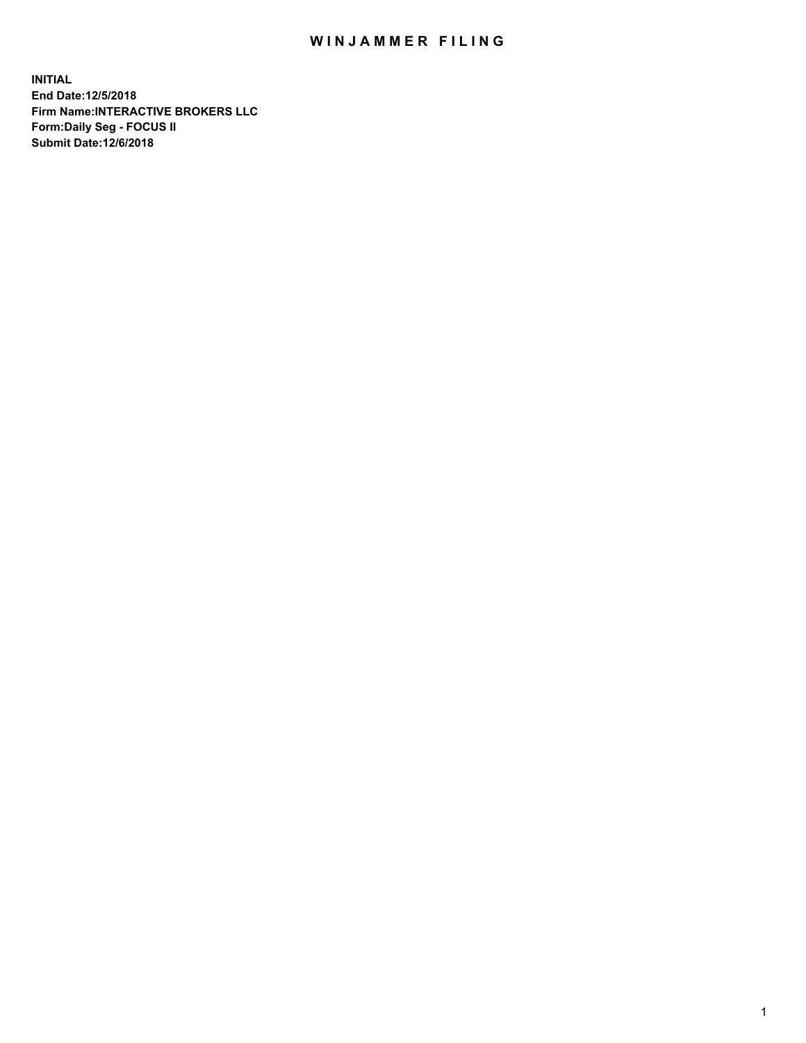## WIN JAMMER FILING

**INITIAL End Date:12/5/2018 Firm Name:INTERACTIVE BROKERS LLC Form:Daily Seg - FOCUS II Submit Date:12/6/2018**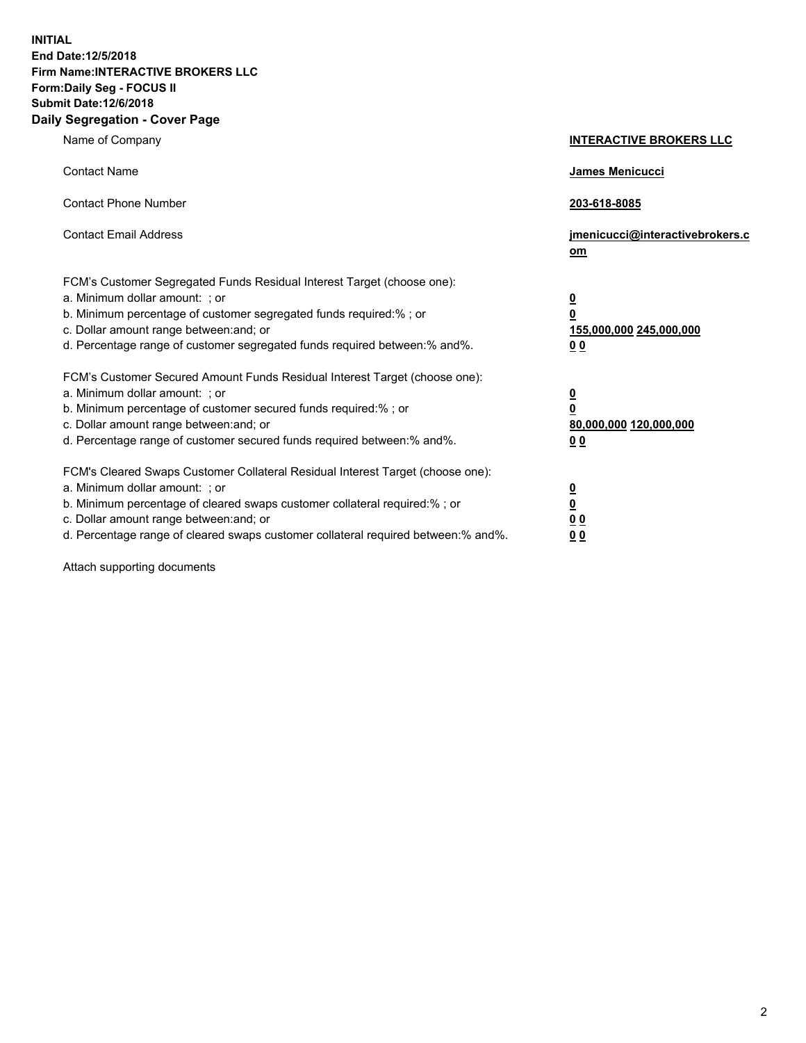**INITIAL End Date:12/5/2018 Firm Name:INTERACTIVE BROKERS LLC Form:Daily Seg - FOCUS II Submit Date:12/6/2018 Daily Segregation - Cover Page**

| Name of Company                                                                                                                                                                                                                                                                                                                | <b>INTERACTIVE BROKERS LLC</b>                                                                  |
|--------------------------------------------------------------------------------------------------------------------------------------------------------------------------------------------------------------------------------------------------------------------------------------------------------------------------------|-------------------------------------------------------------------------------------------------|
| <b>Contact Name</b>                                                                                                                                                                                                                                                                                                            | James Menicucci                                                                                 |
| <b>Contact Phone Number</b>                                                                                                                                                                                                                                                                                                    | 203-618-8085                                                                                    |
| <b>Contact Email Address</b>                                                                                                                                                                                                                                                                                                   | jmenicucci@interactivebrokers.c<br>om                                                           |
| FCM's Customer Segregated Funds Residual Interest Target (choose one):<br>a. Minimum dollar amount: ; or<br>b. Minimum percentage of customer segregated funds required:% ; or<br>c. Dollar amount range between: and; or<br>d. Percentage range of customer segregated funds required between:% and%.                         | $\overline{\mathbf{0}}$<br>$\overline{\mathbf{0}}$<br>155,000,000 245,000,000<br>0 <sub>0</sub> |
| FCM's Customer Secured Amount Funds Residual Interest Target (choose one):<br>a. Minimum dollar amount: ; or<br>b. Minimum percentage of customer secured funds required:% ; or<br>c. Dollar amount range between: and; or<br>d. Percentage range of customer secured funds required between:% and%.                           | $\overline{\mathbf{0}}$<br>0<br>80,000,000 120,000,000<br>0 <sub>0</sub>                        |
| FCM's Cleared Swaps Customer Collateral Residual Interest Target (choose one):<br>a. Minimum dollar amount: ; or<br>b. Minimum percentage of cleared swaps customer collateral required:% ; or<br>c. Dollar amount range between: and; or<br>d. Percentage range of cleared swaps customer collateral required between:% and%. | $\overline{\mathbf{0}}$<br><u>0</u><br>$\underline{0}$ $\underline{0}$<br>00                    |

Attach supporting documents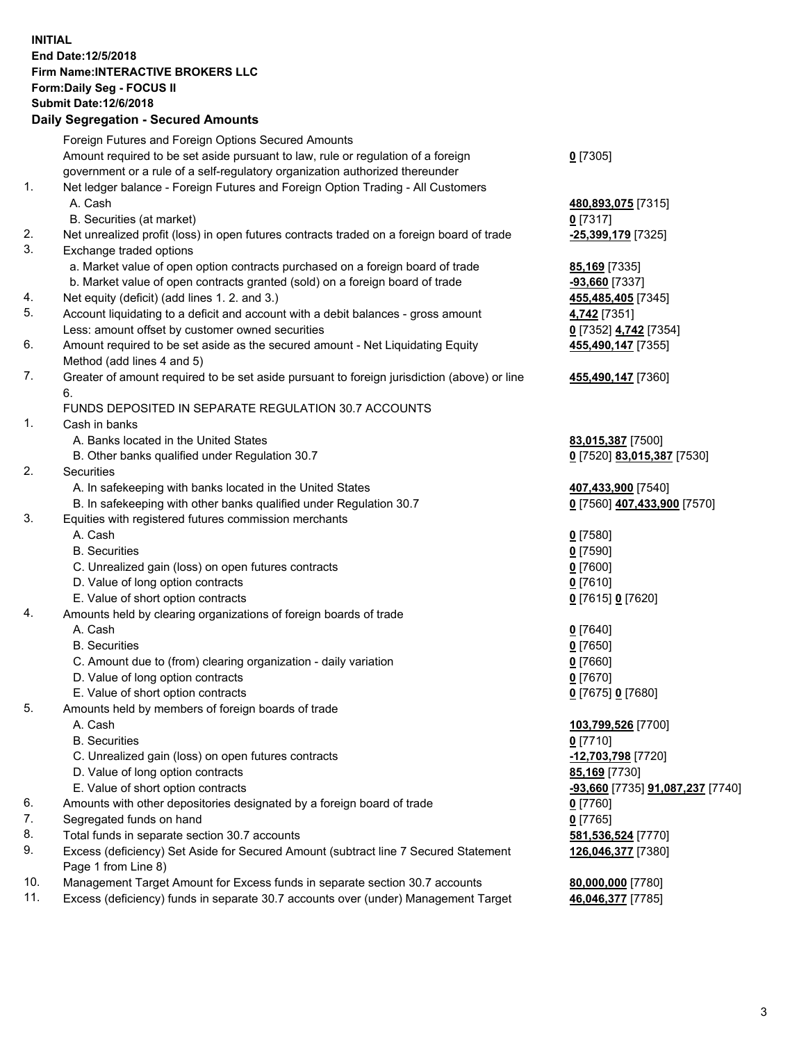## **INITIAL End Date:12/5/2018 Firm Name:INTERACTIVE BROKERS LLC Form:Daily Seg - FOCUS II Submit Date:12/6/2018 Daily Segregation - Secured Amounts**

|                | Daily Jegregation - Jeculed Aniounts                                                              |                                  |
|----------------|---------------------------------------------------------------------------------------------------|----------------------------------|
|                | Foreign Futures and Foreign Options Secured Amounts                                               |                                  |
|                | Amount required to be set aside pursuant to law, rule or regulation of a foreign                  | $0$ [7305]                       |
|                | government or a rule of a self-regulatory organization authorized thereunder                      |                                  |
| $\mathbf{1}$ . | Net ledger balance - Foreign Futures and Foreign Option Trading - All Customers                   |                                  |
|                | A. Cash                                                                                           | 480,893,075 [7315]               |
|                | B. Securities (at market)                                                                         | $0$ [7317]                       |
| 2.             | Net unrealized profit (loss) in open futures contracts traded on a foreign board of trade         | -25,399,179 [7325]               |
| 3.             | Exchange traded options                                                                           |                                  |
|                | a. Market value of open option contracts purchased on a foreign board of trade                    | <b>85,169</b> [7335]             |
|                | b. Market value of open contracts granted (sold) on a foreign board of trade                      | $-93,660$ [7337]                 |
| 4.             | Net equity (deficit) (add lines 1. 2. and 3.)                                                     | 455,485,405 [7345]               |
| 5.             | Account liquidating to a deficit and account with a debit balances - gross amount                 | 4,742 [7351]                     |
|                | Less: amount offset by customer owned securities                                                  | 0 [7352] 4,742 [7354]            |
| 6.             | Amount required to be set aside as the secured amount - Net Liquidating Equity                    | 455,490,147 [7355]               |
|                | Method (add lines 4 and 5)                                                                        |                                  |
| 7.             | Greater of amount required to be set aside pursuant to foreign jurisdiction (above) or line<br>6. | 455,490,147 [7360]               |
|                | FUNDS DEPOSITED IN SEPARATE REGULATION 30.7 ACCOUNTS                                              |                                  |
| 1.             | Cash in banks                                                                                     |                                  |
|                | A. Banks located in the United States                                                             | 83,015,387 [7500]                |
|                | B. Other banks qualified under Regulation 30.7                                                    | 0 [7520] 83,015,387 [7530]       |
| 2.             | Securities                                                                                        |                                  |
|                | A. In safekeeping with banks located in the United States                                         | 407,433,900 [7540]               |
|                | B. In safekeeping with other banks qualified under Regulation 30.7                                | 0 [7560] 407,433,900 [7570]      |
| 3.             | Equities with registered futures commission merchants                                             |                                  |
|                | A. Cash                                                                                           | $0$ [7580]                       |
|                | <b>B.</b> Securities                                                                              | $0$ [7590]                       |
|                | C. Unrealized gain (loss) on open futures contracts                                               | $0$ [7600]                       |
|                | D. Value of long option contracts                                                                 | $0$ [7610]                       |
|                | E. Value of short option contracts                                                                | 0 [7615] 0 [7620]                |
| 4.             | Amounts held by clearing organizations of foreign boards of trade                                 |                                  |
|                | A. Cash                                                                                           | $0$ [7640]                       |
|                | <b>B.</b> Securities                                                                              | $0$ [7650]                       |
|                | C. Amount due to (from) clearing organization - daily variation                                   | $0$ [7660]                       |
|                | D. Value of long option contracts                                                                 | $0$ [7670]                       |
|                | E. Value of short option contracts                                                                | 0 [7675] 0 [7680]                |
| 5.             | Amounts held by members of foreign boards of trade                                                |                                  |
|                | A. Cash                                                                                           | 103,799,526 [7700]               |
|                | <b>B.</b> Securities                                                                              | $0$ [7710]                       |
|                | C. Unrealized gain (loss) on open futures contracts                                               | -12,703,798 [7720]               |
|                | D. Value of long option contracts                                                                 | 85,169 [7730]                    |
|                | E. Value of short option contracts                                                                | -93,660 [7735] 91,087,237 [7740] |
| 6.             | Amounts with other depositories designated by a foreign board of trade                            | 0 [7760]                         |
| 7.             | Segregated funds on hand                                                                          | $0$ [7765]                       |
| 8.             | Total funds in separate section 30.7 accounts                                                     | 581,536,524 [7770]               |
| 9.             | Excess (deficiency) Set Aside for Secured Amount (subtract line 7 Secured Statement               | 126,046,377 [7380]               |
|                | Page 1 from Line 8)                                                                               |                                  |
| 10.            | Management Target Amount for Excess funds in separate section 30.7 accounts                       | 80,000,000 [7780]                |
| 11.            | Excess (deficiency) funds in separate 30.7 accounts over (under) Management Target                | 46,046,377 [7785]                |
|                |                                                                                                   |                                  |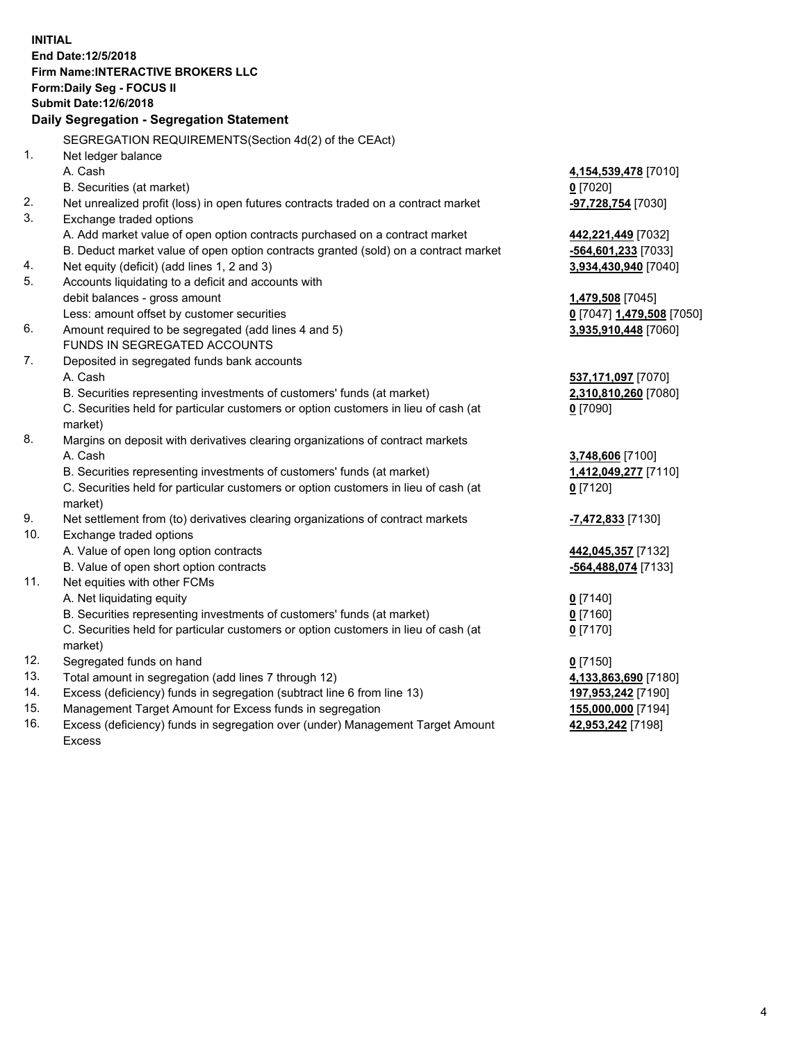**INITIAL End Date:12/5/2018 Firm Name:INTERACTIVE BROKERS LLC Form:Daily Seg - FOCUS II Submit Date:12/6/2018 Daily Segregation - Segregation Statement** SEGREGATION REQUIREMENTS(Section 4d(2) of the CEAct) 1. Net ledger balance A. Cash **4,154,539,478** [7010] B. Securities (at market) **0** [7020] 2. Net unrealized profit (loss) in open futures contracts traded on a contract market **-97,728,754** [7030] 3. Exchange traded options A. Add market value of open option contracts purchased on a contract market **442,221,449** [7032] B. Deduct market value of open option contracts granted (sold) on a contract market **-564,601,233** [7033] 4. Net equity (deficit) (add lines 1, 2 and 3) **3,934,430,940** [7040] 5. Accounts liquidating to a deficit and accounts with debit balances - gross amount **1,479,508** [7045] Less: amount offset by customer securities **0** [7047] **1,479,508** [7050] 6. Amount required to be segregated (add lines 4 and 5) **3,935,910,448** [7060] FUNDS IN SEGREGATED ACCOUNTS 7. Deposited in segregated funds bank accounts A. Cash **537,171,097** [7070] B. Securities representing investments of customers' funds (at market) **2,310,810,260** [7080] C. Securities held for particular customers or option customers in lieu of cash (at market) **0** [7090] 8. Margins on deposit with derivatives clearing organizations of contract markets A. Cash **3,748,606** [7100] B. Securities representing investments of customers' funds (at market) **1,412,049,277** [7110] C. Securities held for particular customers or option customers in lieu of cash (at market) **0** [7120] 9. Net settlement from (to) derivatives clearing organizations of contract markets **-7,472,833** [7130] 10. Exchange traded options A. Value of open long option contracts **442,045,357** [7132] B. Value of open short option contracts **-564,488,074** [7133] 11. Net equities with other FCMs A. Net liquidating equity **0** [7140] B. Securities representing investments of customers' funds (at market) **0** [7160] C. Securities held for particular customers or option customers in lieu of cash (at market) **0** [7170] 12. Segregated funds on hand **0** [7150] 13. Total amount in segregation (add lines 7 through 12) **4,133,863,690** [7180] 14. Excess (deficiency) funds in segregation (subtract line 6 from line 13) **197,953,242** [7190] 15. Management Target Amount for Excess funds in segregation **155,000,000** [7194] **42,953,242** [7198]

16. Excess (deficiency) funds in segregation over (under) Management Target Amount Excess